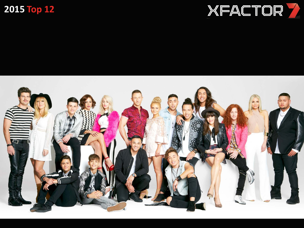



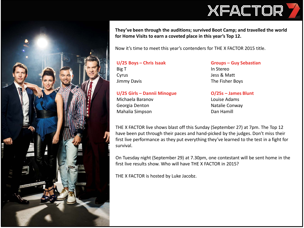



**They've been through the auditions; survived Boot Camp; and travelled the world for Home Visits to earn a coveted place in this year's Top 12.** 

Now it's time to meet this year's contenders for THE X FACTOR 2015 title.

**U/25 Boys – Chris Isaak** Big T Cyrus Jimmy Davis

**Groups – Guy Sebastian** In Stereo Jess & Matt The Fisher Boys

**U/25 Girls – Dannii Minogue** Michaela Baranov

Georgia Denton Mahalia Simpson **O/25s – James Blunt** Louise Adams Natalie Conway Dan Hamill

THE X FACTOR live shows blast off this Sunday (September 27) at 7pm. The Top 12 have been put through their paces and hand-picked by the judges. Don't miss their first live performance as they put everything they've learned to the test in a fight for survival.

On Tuesday night (September 29) at 7.30pm, one contestant will be sent home in the first live results show. Who will have THE X FACTOR in 2015?

THE X FACTOR is hosted by Luke Jacobz.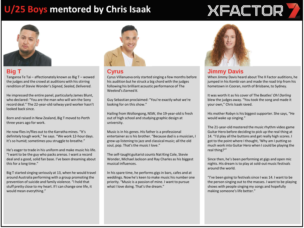## **U/25 Boys mentored by Chris Isaak**



### **Big T**

Tangaroa Te Tai – affectionately known as Big T – wowed the judges and the crowd at auditions with his stirring rendition of Stevie Wonder's *Signed, Sealed, Delivered.*

He impressed the entire panel, particularly James Blunt, who declared: "You are the man who will win the Sony record deal." The 22-year-old railway yard worker hasn't looked back since.

Born and raised in New Zealand, Big T moved to Perth three years ago for work.

He now flies in/flies out to the Karratha mines. "It's definitely tough work," he says. "We work 12-hour days. It's so humid; sometimes you struggle to breathe."

He's eager to trade in his uniform and make music his life. "I want to be the guy who packs arenas. I want a record deal and a good, solid fan base. I've been dreaming about this for a long time."

Big T started singing seriously at 13, when he would travel around Australia performing with a group promoting the prevention of suicide and family violence. "I hold that stuff pretty close to my heart. If I can change one life, it would mean everything."



#### **Cyrus**

Cyrus Villanueva only started singing a few months before his audition but he struck a big chord with the judges following his brilliant acoustic performance of The Weeknd's *Earned It.*

Guy Sebastian proclaimed: "You're exactly what we're looking for on this show."

Hailing from Wollongong, NSW, the 19-year-old is fresh out of high school and studying graphic design at university.

Music is in his genes. His father is a professional entertainer as is his brother. "Because dad is a musician, I grew up listening to jazz and classical music; all the old soul, pop. That's the music I love."

The self-taught guitarist counts Nat King Cole, Stevie Wonder, Michael Jackson and Ray Charles as his biggest musical influences.

In his spare time, he performs gigs in bars, cafes and at weddings. Now he's keen to make music his number one priority. "Music is a passion of mine. I want to pursue what I love doing. That's the dream."



#### **Jimmy Davis**

When Jimmy Davis heard about The X Factor auditions, he jumped in his Kombi van and made the road trip from his hometown in Cooran, north of Brisbane, to Sydney.

**XFACTOR** 

It was worth it as his cover of The Beatles' *Oh! Darling* blew the judges away. "You took the song and made it your own," Chris Isaak raved.

His mother Robyn is his biggest supporter. She says, "He would wake up singing."

The 21-year-old mastered the music rhythm video game Guitar Hero before deciding to pick up the real thing at 14. "I'd play all the buttons and get really high scores. I got to the point where I thought, 'Why am I putting so much work into Guitar Hero when I could be playing the real thing?'"

Since then, he's been performing at gigs and open mic nights. His dream is to play at sold-out music festivals around the world.

"I've been going to festivals since I was 14. I want to be the person singing out to the masses. I want to be playing shows with people singing my songs and hopefully making someone's life better."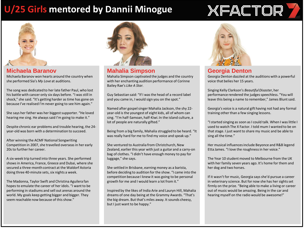## **U/25 Girls mentored by Dannii Minogue**

## XFACTOR



#### **Michaela Baranov**

Michaela Baranov won hearts around the country when she performed Sia's *My Love* at auditions.

The song was dedicated to her late father Paul, who lost his battle with cancer only six days before. "I was still in shock," she said. "It's getting harder as time has gone on because I've realised I'm never going to see him again."

She says her father was her biggest supporter. "He loved hearing me sing. He always said I'm going to make it."

Despite chronic ear problems and trouble hearing, the 24 year-old was born with a determination to succeed.

After winning the ACMF National Songwriting Competition in 2007, she travelled overseas in her early 20s to further her career.

A six-week trip turned into three years. She performed shows in America, France, Greece and Dubai, where she secured a three-month contract at the Waldorf Astoria doing three 40-minute sets, six nights a week.

The Madonna, Taylor Swift and Christina Aguilera fan hopes to emulate the career of her idols. "I want to be performing in stadiums and sell out arenas around the world. My goals keep getting bigger and bigger. They seem reachable now because of this show."



**Mahalia Simpson**

Mahalia Simpson captivated the judges and the country with her enchanting audition performance of Corinne Bailey Rae's *Like A Star.* 

Guy Sebastian said: "If I was the head of a record label and you came in, I would sign you on the spot."

Named after gospel singer Mahalia Jackson, the shy 22 year-old is the youngest of eight kids, all of whom can sing. "I'm half-Samoan, half-Kiwi. In the island culture, a lot of people are naturally gifted."

Being from a big family, Mahalia struggled to be heard. "It was really hard for me to find my voice and speak up."

She ventured to Australia from Christchurch, New Zealand, earlier this year with just a guitar and a carry-on bag of clothes. "I didn't have enough money to pay for luggage," she says.

She settled in Brisbane, earning money as a barista, before deciding to audition for the show. "I came into the competition because I knew it was going to be personal growth for me and I would learn a lot from it."

Inspired by the likes of India Arie and Lauryn Hill, Mahalia dreams of one day being at the Grammy Awards. "That's the big dream. But that's miles away. It sounds cheesy, but I just want to be happy."



#### **Georgia Denton**

Georgia Denton dazzled at the auditions with a powerful voice that belies her 15 years.

Singing Kelly Clarkson's *Beautiful Disaster*, her performance rendered the judges speechless. "You will leave this being a name to remember," James Blunt said.

Georgia's voice is a natural gift having not had any formal training other than a few singing lessons.

"I started singing as soon as I could talk. When I was little I used to watch The X Factor. I told mum I wanted to be on that stage. I just want to share my music and be able to sing all the time."

Her musical influences include Beyonce and R&B legend Etta James. "I love the roughness in her voice."

The Year 10 student moved to Melbourne from the UK with her family seven years ago. It's home for them and her dog and two horses.

If it wasn't for music, Georgia says she'd pursue a career in veterinary science. But for now she has her sights set firmly on the prize. "Being able to make a living or career out of music would be amazing. Being in the car and hearing myself on the radio would be awesome!"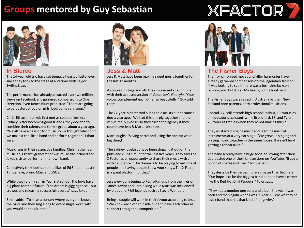## **Groups mentored by Guy Sebastian**



#### **In Stereo**

The 14-year-old trio have set teenage hearts aflutter ever since they took to the stage at auditions with Taylor Swift's *Style*.

The performance has already attracted over two million views on Facebook and garnered comparisons to One Direction. Even James Blunt predicted: "There are going to be posters of you on girls' bedrooms very soon."

Chris, Ethan and Jakob first met as solo performers in Sydney. After becoming good friends, they decided to combine their talents and form a group about a year ago. "We all have a passion for music so we thought why don't we make a cool little band and perform together," Ethan says.

Music runs in their respective families. Chris' father is a musician; Ethan's grandfather was musically inclined and Jakob's sister performs in her own band.

Collectively they look up to the likes of Ed Sheeran, Justin Timberlake, Bruno Mars and 5SOS.

While they're only still in Year 9 at school, the boys have big plans for their future. "The dream is gigging to sell-out crowds and releasing successful records," says Jakob.

Ethan adds: "To have a concert where everyone knows the lyrics and they sing along to every single word with you would be the ultimate."



**Jess & Matt** Jess & Matt have been making sweet music together for the last 12 months.

A couple on stage and off, they impressed at auditions with their acoustic version of Vance Joy's *Georgia*. "Your voices complement each other so beautifully," Guy told them.

The 24-year-olds started out as solo artists but became a duo a year ago. "We had this one gig together and the venue really liked us so they asked the agency if they could have Jess & Matt," Jess says.

Matt laughs: "Saving petrol and using the one car was a big thing!"

The Sydney lovebirds have been slogging it out on the pubs and clubs circuit for the last five years. They saw The X Factor as an opportunity to share their music with a wider audience. "The dream is to be playing to millions of people and having people know your songs. The X Factor is a great platform for that."

Jess grew up listening to 70s folk music from the likes of James Taylor and Carole King while Matt was influenced by blues and R&B legends such as Stevie Wonder.

Being a couple will work in their favour according to Jess. "We know each other inside out and have each other as support through the competition."



#### **The Fisher Boys**

Their synchronised moves and killer harmonies have already garnered comparisons to the legendary Jackson 5. "I was looking to see if there was a Jermaine Jackson [among you] but it's all Michael's," Chris Isaak said.

**XFACTOR** 

The Fisher Boys were raised in Australia by their New Zealand born parents, both professional musicians.

Conrad, 17, still attends high school; Joshua, 19, works as an educator's assistant; while Brandford, 18, and Tyler, 23, work as tradies when they're not making music.

They all started singing music and learning musical instruments at a very early age. "We grew up singing and playing music together in the same house. It wasn't hard getting a rehearsal in."

The band already have a huge social following after their dad posted one of their jam sessions on YouTube. "It got a bunch of shares and likes," Joshua said.

They describe themselves more as mates than brothers. "Our hope is to be the biggest band out and have a career like the Red Hot Chili Peppers," Tyler says.

"They had a number one song and album the year I was born and then again when I was in Year 11. We want to be a sick band that has that kind of longevity."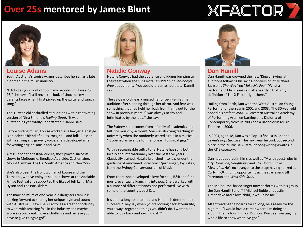### **Over 25s mentored by James Blunt**

# **XFACTOR**



#### **Louise Adams**

South Australia's Louise Adams describes herself as a late bloomer in the music industry.

"I didn't sing in front of too many people until I was 25, 26," she says. "I still recall the look of shock on my parents faces when I first picked up the guitar and sang a song."

The 31-year-old enthralled at auditions with a captivating version of Nina Simone's *Feeling Good*. "It was outstanding yet totally understated," Dannii said.

Before finding music, Louise worked as a lawyer. Her style is an eclectic blend of blues, rock, soul and folk. Blessed with a strong and gravelly voice, she's developed a flair for writing original music and lyrics.

A regular on the festival circuit, she's played successful shows in Melbourne, Bendigo, Adelaide, Castlemaine, Mount Gambier, the UK, South America and New York.

She's also been the front woman of Louise and the Tornados, who've enjoyed sell-out shows at the Adelaide Fringe Festival and supported the likes of Jeff Lang, Mia Dyson and The Backsliders.

The married mum of one-year-old daughter Frankie is looking forward to sharing her unique style and sound with Australia. "I saw The X Factor as a great opportunity to work with amazing folk in the industry and maybe score a record deal. I love a challenge and believe you have to give things a go!"



#### **Natalie Conway**

Natalie Conway had the audience and judges jumping to their feet when she sung Rozalla's 1992 hit *Everybody's Free* at auditions. "You absolutely smashed that," Dannii said.

The 33-year-old nearly missed her once-in-a-lifetime audition after sleeping through her alarm. And fear was something that had held her back from trying out for the show in previous years. "I was always so shy and intimidated by the idea," she says.

The Sydney-sider comes from a family of academics and fell into music by accident. She was studying teaching at university when she randomly scored a role in a musical. "It opened an avenue for me to learn to sing at gigs."

With a recognisable sultry tone, Natalie has sung both locally and internationally over the past five years. Classically trained, Natalie branched into jazz under the guidance of renowned vocal coach/jazz singer, Joy Yates, from the Sydney Conservatorium of Music.

From there, she developed a love for soul, R&B and funk music, eventually branching into pop. She's worked with a number of different bands and performed live with some of the country's best DJs.

It's been a long road to here and Natalie is determined to succeed. "They say when you're looking back at your life, you always regret the things you didn't do. I want to be able to look back and say, 'I did it!'"



#### **Dan Hamill**

Dan Hamill was crowned the new 'King of Swing' at auditions following his swing-pop version of Michael Jackson's *The Way You Make Me Feel*. "What a performer," Chris Isaak said afterwards. "That's my definition of The X Factor right there."

Hailing from Perth, Dan won the West Australian Young Performer of the Year in 2002 and 2003. The 30-year-old honed his craft at WAAPA (Western Australian Academy of Performing Arts), embarking on a Diploma of Contemporary Voice in 2003 and a Bachelor in Music Theatre in 2006.

In 2004, aged 18, Dan was a Top 10 finalist in Channel Seven's *Popstars Live*. The next year he took out second place in the Music Oz Australian Songwriting Awards in the R&B category.

Dan has appeared in films as well as TV with guest roles in *City Homicide*, *Neighbours* and *The Doctor Blake Mysteries*. He's no stranger to the stage having starred as Curly in *Oklahoma* opposite music theatre legend Jill Perryman and *West Side Story*.

The Melbourne-based singer now performs with his group the Dan Hamill Band. "If Michael Buble and Justin Timberlake had a love child, it would be me."

After treading the boards for so long, he's ready for the big time. "I would love a career where I'm doing an album, then a tour, film or TV show. I've been waiting my whole life to show what I've got."